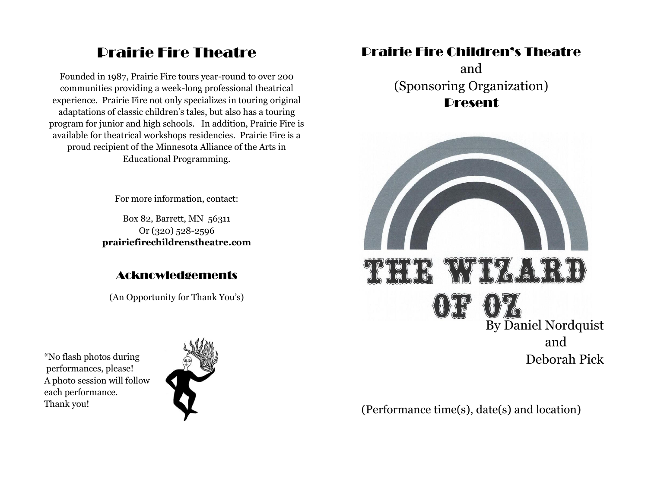# Prairie Fire Theatre

Founded in 1987, Prairie Fire tours year-round to over 200 communities providing a week-long professional theatrical experience. Prairie Fire not only specializes in touring original adaptations of classic children's tales, but also has a touring program for junior and high schools. In addition, Prairie Fire is available for theatrical workshops residencies. Prairie Fire is a proud recipient of the Minnesota Alliance of the Arts in Educational Programming.

For more information, contact:

Box 82, Barrett, MN 56311 Or (320) 528-2596 **prairiefirechildrenstheatre.com**

### Acknowledgements

(An Opportunity for Thank You's)

\*No flash photos during performances, please! A photo session will follow each performance. Thank you!



# Prairie Fire Children's Theatre

and (Sponsoring Organization) **Present** 



(Performance time(s), date(s) and location)